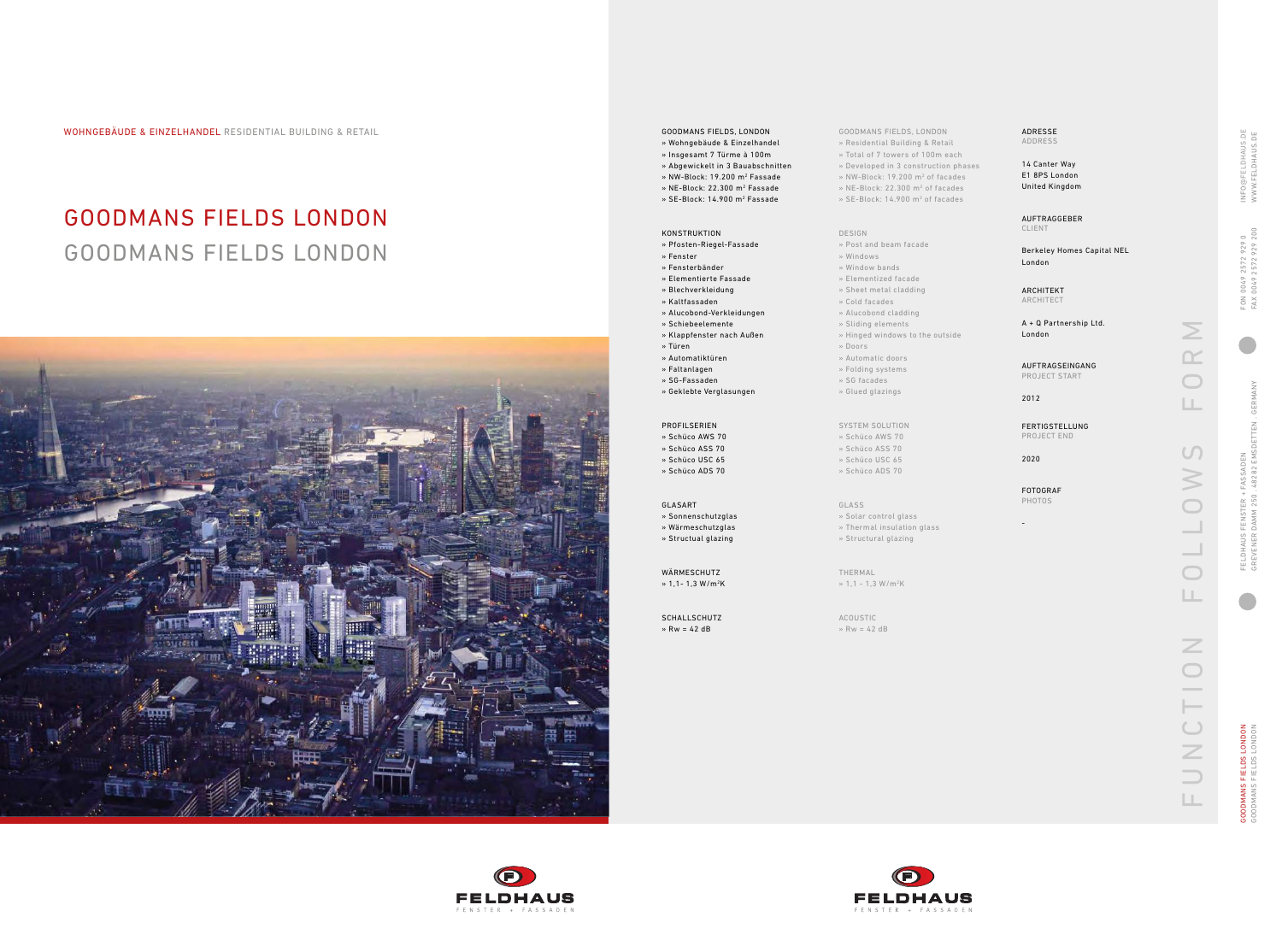WOHNGEBÄUDE & EINZELHANDEL RESIDENTIAL BUILDING & RETAIL GOODMANS FIELDS, LONDON

# GOODMANS FIELDS LONDON GOODMANS FIELDS LONDON



GOODMANS FIELDS, LONDON » Residential Building & Retail » Total of 7 towers of 100m each » Developed in 3 construction phases » NW-Block: 19.200 m 2 of facades

#### » NE-Block: 22.300 m 2 of facades » SE-Block: 14.900 m 2 of facades

#### DESIGN

ACOUSTIC  $\gg$  Rw = 42 dB





50 OD MANS FIELDS LONDON<br>50 OD MANS FIELDS LONDON GOODMANS FIELDS LONDON GOODMANS FIELDS LONDON

- » Post and beam facade
- » Windows
- » Window bands
- » Elementized facade » Sheet metal cladding
- » Cold facades
- » Alucobond cladding
- » Sliding elements
- » Hinged windows to the outside
- » Doors
- » Automatic doors
- » Folding systems
- » SG facades
- » Glued glazings

NFO@FELDHAUS.DE<br>WWW.FELDHAUS.DE INFO@FELDHAUS.DE WWW.FELDHAUS.DE 4 0049 2572 929 0<br>(0049 2572 929 200 FAX 0049 2572 929 200 FON 0049 2572 929 0 FON<br>FAX I GREVENER DAMM 250 . 48282 EMSDETTEN . GERMANY GERM/ FELDHAUS FENSTER + FASSADEN<br>GREVENER DAMM 250 . 48282 EMSDETTEN FELDHAUS FENSTER + FASSADEN

SYSTEM SOLUTION » Schüco AWS 70

- » Schüco ASS 70
- » Schüco USC 65
- » Schüco ADS 70

### GLASS

- » Solar control glass » Thermal insulation glass
- » Structural glazing
- THERMAL

## $* 1, 1 - 1, 3 W/m<sup>2</sup>K$

SCHALLSCHUTZ  $\rightarrow$  Rw = 42 dB

## » Wohngebäude & Einzelhandel

- » Insgesamt 7 Türme à 100m
- » Abgewickelt in 3 Bauabschnitten
- » NW-Block: 19.200 m 2 Fassade
- » NE-Block: 22.300 m 2 Fassade
- » SE-Block: 14.900 m 2 Fassade

### KONSTRUKTION

| ADDRESS                                          |               |
|--------------------------------------------------|---------------|
| 14 Canter Way<br>E1 8PS London<br>United Kingdom |               |
| AUFTRAGGEBER<br><b>CLIENT</b>                    |               |
| Berkeley Homes Capital NEL<br>London             |               |
| ARCHITEKT<br>ARCHITECT                           |               |
| A + Q Partnership Ltd.<br>London                 |               |
| AUFTRAGSEINGANG<br>PROJECT START                 |               |
| 2012                                             |               |
| FERTIGSTELLUNG<br>PROJECT END                    |               |
| 2020                                             |               |
| <b>FOTOGRAF</b><br><b>PHOTOS</b>                 |               |
|                                                  |               |
|                                                  |               |
|                                                  |               |
|                                                  |               |
|                                                  | $\mathbb Z$   |
|                                                  |               |
|                                                  |               |
|                                                  | OILON         |
|                                                  |               |
|                                                  | $\Rightarrow$ |
|                                                  | Щ             |

- » Pfosten-Riegel-Fassade » Fenster » Fensterbänder
- » Elementierte Fassade
- » Blechverkleidung
- » Kaltfassaden
- » Alucobond-Verkleidungen
- » Schiebeelemente
- » Klappfenster nach Außen
- » Türen
- » Automatiktüren
- » Faltanlagen
- » SG-Fassaden
- » Geklebte Verglasungen

#### PROFILSERIEN

- » Schüco AWS 70 » Schüco ASS 70
- » Schüco USC 65
- » Schüco ADS 70

- GLASART » Sonnenschutzglas » Wärmeschutzglas
- » Structual glazing
- WÄRMESCHUTZ » 1,1- 1,3 W/m 2 K

ADRESSE